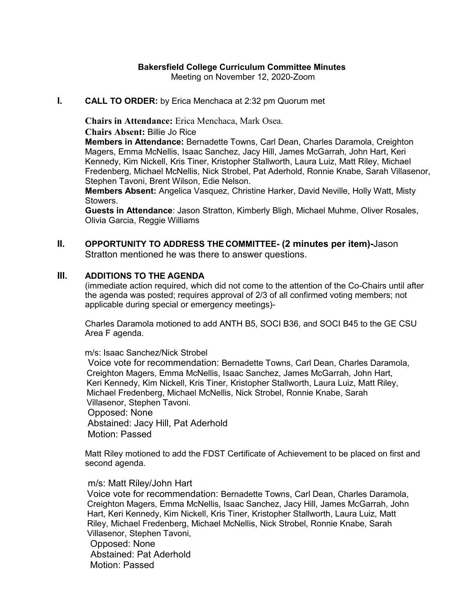## **Bakersfield College Curriculum Committee Minutes**

Meeting on November 12, 2020-Zoom

#### **I. CALL TO ORDER:** by Erica Menchaca at 2:32 pm Quorum met

**Chairs in Attendance:** Erica Menchaca, Mark Osea.

**Chairs Absent:** Billie Jo Rice

**Members in Attendance:** Bernadette Towns, Carl Dean, Charles Daramola, Creighton Magers, Emma McNellis, Isaac Sanchez, Jacy Hill, James McGarrah, John Hart, Keri Kennedy, Kim Nickell, Kris Tiner, Kristopher Stallworth, Laura Luiz, Matt Riley, Michael Fredenberg, Michael McNellis, Nick Strobel, Pat Aderhold, Ronnie Knabe, Sarah Villasenor, Stephen Tavoni, Brent Wilson, Edie Nelson.

**Members Absent:** Angelica Vasquez, Christine Harker, David Neville, Holly Watt, Misty Stowers.

**Guests in Attendance**: Jason Stratton, Kimberly Bligh, Michael Muhme, Oliver Rosales, Olivia Garcia, Reggie Williams

### **II. OPPORTUNITY TO ADDRESS THE COMMITTEE- (2 minutes per item)-**Jason Stratton mentioned he was there to answer questions.

### **III. ADDITIONS TO THE AGENDA**

(immediate action required, which did not come to the attention of the Co-Chairs until after the agenda was posted; requires approval of 2/3 of all confirmed voting members; not applicable during special or emergency meetings)-

Charles Daramola motioned to add ANTH B5, SOCI B36, and SOCI B45 to the GE CSU Area F agenda.

m/s: Isaac Sanchez/Nick Strobel

 Voice vote for recommendation: Bernadette Towns, Carl Dean, Charles Daramola, Creighton Magers, Emma McNellis, Isaac Sanchez, James McGarrah, John Hart, Keri Kennedy, Kim Nickell, Kris Tiner, Kristopher Stallworth, Laura Luiz, Matt Riley, Michael Fredenberg, Michael McNellis, Nick Strobel, Ronnie Knabe, Sarah Villasenor, Stephen Tavoni. Opposed: None Abstained: Jacy Hill, Pat Aderhold Motion: Passed

Matt Riley motioned to add the FDST Certificate of Achievement to be placed on first and second agenda.

#### m/s: Matt Riley/John Hart

Voice vote for recommendation: Bernadette Towns, Carl Dean, Charles Daramola, Creighton Magers, Emma McNellis, Isaac Sanchez, Jacy Hill, James McGarrah, John Hart, Keri Kennedy, Kim Nickell, Kris Tiner, Kristopher Stallworth, Laura Luiz, Matt Riley, Michael Fredenberg, Michael McNellis, Nick Strobel, Ronnie Knabe, Sarah Villasenor, Stephen Tavoni, Opposed: None Abstained: Pat Aderhold Motion: Passed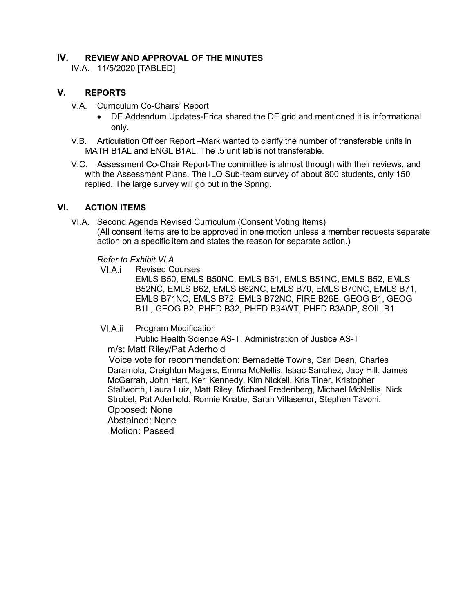## **IV. REVIEW AND APPROVAL OF THE MINUTES**

IV.A. 11/5/2020 [TABLED]

# **V. REPORTS**

- V.A. Curriculum Co-Chairs' Report
	- DE Addendum Updates-Erica shared the DE grid and mentioned it is informational only.
- V.B. Articulation Officer Report –Mark wanted to clarify the number of transferable units in MATH B1AL and ENGL B1AL. The .5 unit lab is not transferable.
- V.C. Assessment Co-Chair Report-The committee is almost through with their reviews, and with the Assessment Plans. The ILO Sub-team survey of about 800 students, only 150 replied. The large survey will go out in the Spring.

## **VI. ACTION ITEMS**

VI.A. Second Agenda Revised Curriculum (Consent Voting Items) (All consent items are to be approved in one motion unless a member requests separate action on a specific item and states the reason for separate action.)

*Refer to Exhibit VI.A*

VI.A.i Revised Courses

EMLS B50, EMLS B50NC, EMLS B51, EMLS B51NC, EMLS B52, EMLS B52NC, EMLS B62, EMLS B62NC, EMLS B70, EMLS B70NC, EMLS B71, EMLS B71NC, EMLS B72, EMLS B72NC, FIRE B26E, GEOG B1, GEOG B1L, GEOG B2, PHED B32, PHED B34WT, PHED B3ADP, SOIL B1

VI.A.ii Program Modification

Public Health Science AS-T, Administration of Justice AS-T m/s: Matt Riley/Pat Aderhold

Voice vote for recommendation: Bernadette Towns, Carl Dean, Charles Daramola, Creighton Magers, Emma McNellis, Isaac Sanchez, Jacy Hill, James McGarrah, John Hart, Keri Kennedy, Kim Nickell, Kris Tiner, Kristopher Stallworth, Laura Luiz, Matt Riley, Michael Fredenberg, Michael McNellis, Nick Strobel, Pat Aderhold, Ronnie Knabe, Sarah Villasenor, Stephen Tavoni. Opposed: None Abstained: None

Motion: Passed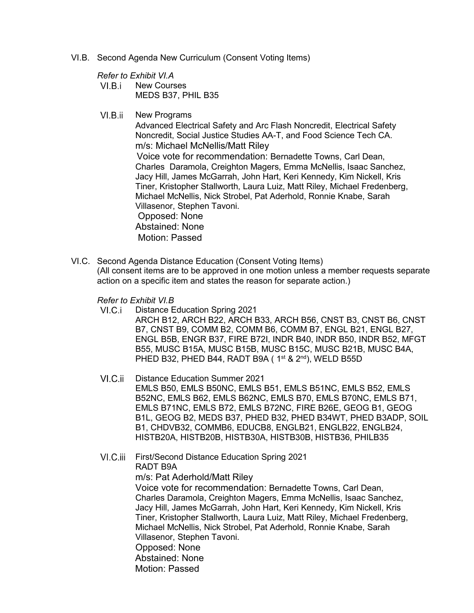- VI.B. Second Agenda New Curriculum (Consent Voting Items)
	- *Refer to Exhibit VI.A*
	- $VI.B.i$ New Courses MEDS B37, PHIL B35
	- $VI.B.ii$ New Programs

Advanced Electrical Safety and Arc Flash Noncredit, Electrical Safety Noncredit, Social Justice Studies AA-T, and Food Science Tech CA. m/s: Michael McNellis/Matt Riley Voice vote for recommendation: Bernadette Towns, Carl Dean, Charles Daramola, Creighton Magers, Emma McNellis, Isaac Sanchez, Jacy Hill, James McGarrah, John Hart, Keri Kennedy, Kim Nickell, Kris Tiner, Kristopher Stallworth, Laura Luiz, Matt Riley, Michael Fredenberg, Michael McNellis, Nick Strobel, Pat Aderhold, Ronnie Knabe, Sarah Villasenor, Stephen Tavoni. Opposed: None Abstained: None

Motion: Passed

VI.C. Second Agenda Distance Education (Consent Voting Items) (All consent items are to be approved in one motion unless a member requests separate action on a specific item and states the reason for separate action.)

*Refer to Exhibit VI.B*

- $VI.C.i$ Distance Education Spring 2021 ARCH B12, ARCH B22, ARCH B33, ARCH B56, CNST B3, CNST B6, CNST B7, CNST B9, COMM B2, COMM B6, COMM B7, ENGL B21, ENGL B27, ENGL B5B, ENGR B37, FIRE B72I, INDR B40, INDR B50, INDR B52, MFGT B55, MUSC B15A, MUSC B15B, MUSC B15C, MUSC B21B, MUSC B4A, PHED B32, PHED B44, RADT B9A (1<sup>st</sup> & 2<sup>nd</sup>), WELD B55D
- VI.C.ii Distance Education Summer 2021 EMLS B50, EMLS B50NC, EMLS B51, EMLS B51NC, EMLS B52, EMLS B52NC, EMLS B62, EMLS B62NC, EMLS B70, EMLS B70NC, EMLS B71, EMLS B71NC, EMLS B72, EMLS B72NC, FIRE B26E, GEOG B1, GEOG B1L, GEOG B2, MEDS B37, PHED B32, PHED B34WT, PHED B3ADP, SOIL B1, CHDVB32, COMMB6, EDUCB8, ENGLB21, ENGLB22, ENGLB24, HISTB20A, HISTB20B, HISTB30A, HISTB30B, HISTB36, PHILB35
- First/Second Distance Education Spring 2021 RADT B9A m/s: Pat Aderhold/Matt Riley Voice vote for recommendation: Bernadette Towns, Carl Dean, Charles Daramola, Creighton Magers, Emma McNellis, Isaac Sanchez, Jacy Hill, James McGarrah, John Hart, Keri Kennedy, Kim Nickell, Kris Tiner, Kristopher Stallworth, Laura Luiz, Matt Riley, Michael Fredenberg, Michael McNellis, Nick Strobel, Pat Aderhold, Ronnie Knabe, Sarah Villasenor, Stephen Tavoni. Opposed: None Abstained: None Motion: Passed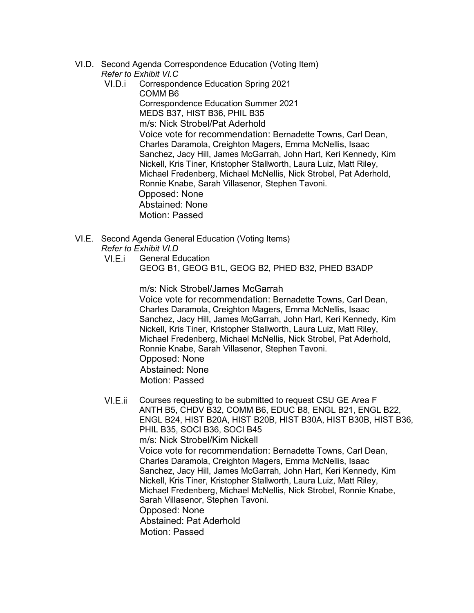- VI.D. Second Agenda Correspondence Education (Voting Item) *Refer to Exhibit VI.C*
	- VI.D.i Correspondence Education Spring 2021 COMM B6 Correspondence Education Summer 2021 MEDS B37, HIST B36, PHIL B35 m/s: Nick Strobel/Pat Aderhold Voice vote for recommendation: Bernadette Towns, Carl Dean, Charles Daramola, Creighton Magers, Emma McNellis, Isaac Sanchez, Jacy Hill, James McGarrah, John Hart, Keri Kennedy, Kim Nickell, Kris Tiner, Kristopher Stallworth, Laura Luiz, Matt Riley, Michael Fredenberg, Michael McNellis, Nick Strobel, Pat Aderhold, Ronnie Knabe, Sarah Villasenor, Stephen Tavoni. Opposed: None Abstained: None Motion: Passed
- VI.E. Second Agenda General Education (Voting Items) *Refer to Exhibit VI.D*
	- VI.E.i General Education GEOG B1, GEOG B1L, GEOG B2, PHED B32, PHED B3ADP

m/s: Nick Strobel/James McGarrah Voice vote for recommendation: Bernadette Towns, Carl Dean, Charles Daramola, Creighton Magers, Emma McNellis, Isaac Sanchez, Jacy Hill, James McGarrah, John Hart, Keri Kennedy, Kim Nickell, Kris Tiner, Kristopher Stallworth, Laura Luiz, Matt Riley, Michael Fredenberg, Michael McNellis, Nick Strobel, Pat Aderhold, Ronnie Knabe, Sarah Villasenor, Stephen Tavoni. Opposed: None Abstained: None Motion: Passed

VI.E.ii Courses requesting to be submitted to request CSU GE Area F ANTH B5, CHDV B32, COMM B6, EDUC B8, ENGL B21, ENGL B22, ENGL B24, HIST B20A, HIST B20B, HIST B30A, HIST B30B, HIST B36, PHIL B35, SOCI B36, SOCI B45 m/s: Nick Strobel/Kim Nickell Voice vote for recommendation: Bernadette Towns, Carl Dean, Charles Daramola, Creighton Magers, Emma McNellis, Isaac Sanchez, Jacy Hill, James McGarrah, John Hart, Keri Kennedy, Kim Nickell, Kris Tiner, Kristopher Stallworth, Laura Luiz, Matt Riley, Michael Fredenberg, Michael McNellis, Nick Strobel, Ronnie Knabe, Sarah Villasenor, Stephen Tavoni. Opposed: None Abstained: Pat Aderhold Motion: Passed